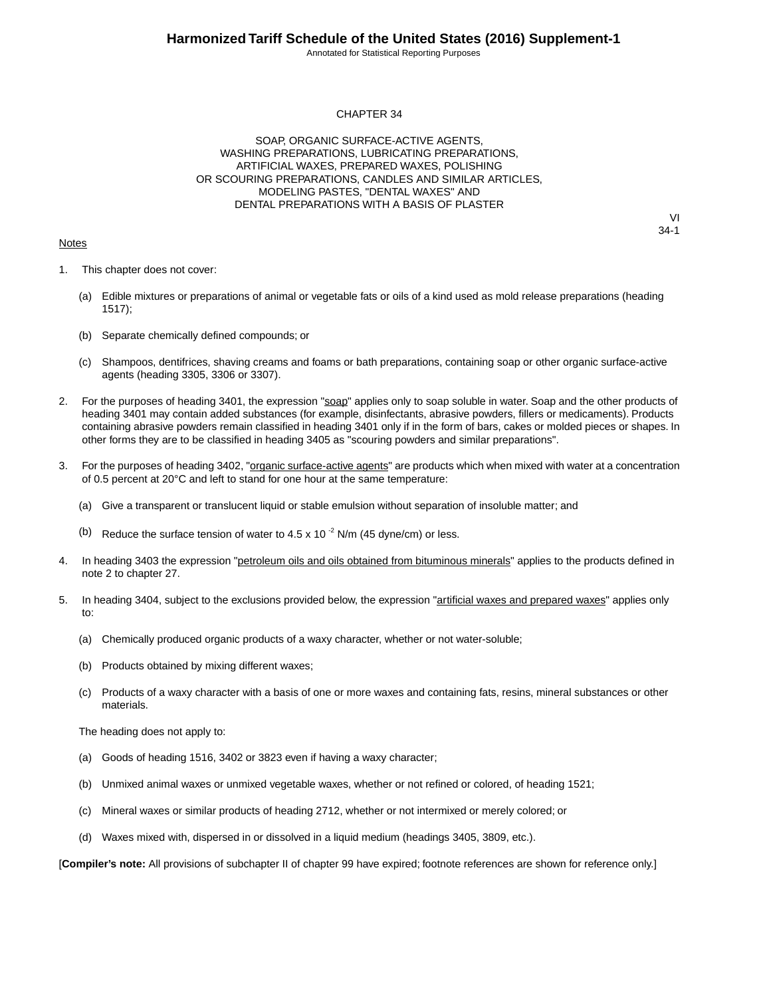Annotated for Statistical Reporting Purposes

#### CHAPTER 34

SOAP, ORGANIC SURFACE-ACTIVE AGENTS, WASHING PREPARATIONS, LUBRICATING PREPARATIONS, ARTIFICIAL WAXES, PREPARED WAXES, POLISHING OR SCOURING PREPARATIONS, CANDLES AND SIMILAR ARTICLES, MODELING PASTES, "DENTAL WAXES" AND DENTAL PREPARATIONS WITH A BASIS OF PLASTER

#### **Notes**

VI 34-1

- 1. This chapter does not cover:
	- (a) Edible mixtures or preparations of animal or vegetable fats or oils of a kind used as mold release preparations (heading 1517);
	- (b) Separate chemically defined compounds; or
	- (c) Shampoos, dentifrices, shaving creams and foams or bath preparations, containing soap or other organic surface-active agents (heading 3305, 3306 or 3307).
- 2. For the purposes of heading 3401, the expression "soap" applies only to soap soluble in water. Soap and the other products of heading 3401 may contain added substances (for example, disinfectants, abrasive powders, fillers or medicaments). Products containing abrasive powders remain classified in heading 3401 only if in the form of bars, cakes or molded pieces or shapes. In other forms they are to be classified in heading 3405 as "scouring powders and similar preparations".
- 3. For the purposes of heading 3402, "organic surface-active agents" are products which when mixed with water at a concentration of 0.5 percent at 20°C and left to stand for one hour at the same temperature:
	- (a) Give a transparent or translucent liquid or stable emulsion without separation of insoluble matter; and
	- (b) Reduce the surface tension of water to 4.5 x 10 $^{-2}$  N/m (45 dyne/cm) or less.
- 4. In heading 3403 the expression "petroleum oils and oils obtained from bituminous minerals" applies to the products defined in note 2 to chapter 27.
- 5. In heading 3404, subject to the exclusions provided below, the expression "artificial waxes and prepared waxes" applies only to:
	- (a) Chemically produced organic products of a waxy character, whether or not water-soluble;
	- (b) Products obtained by mixing different waxes;
	- (c) Products of a waxy character with a basis of one or more waxes and containing fats, resins, mineral substances or other materials.

The heading does not apply to:

- (a) Goods of heading 1516, 3402 or 3823 even if having a waxy character;
- (b) Unmixed animal waxes or unmixed vegetable waxes, whether or not refined or colored, of heading 1521;
- (c) Mineral waxes or similar products of heading 2712, whether or not intermixed or merely colored; or
- (d) Waxes mixed with, dispersed in or dissolved in a liquid medium (headings 3405, 3809, etc.).

[**Compiler's note:** All provisions of subchapter II of chapter 99 have expired; footnote references are shown for reference only.]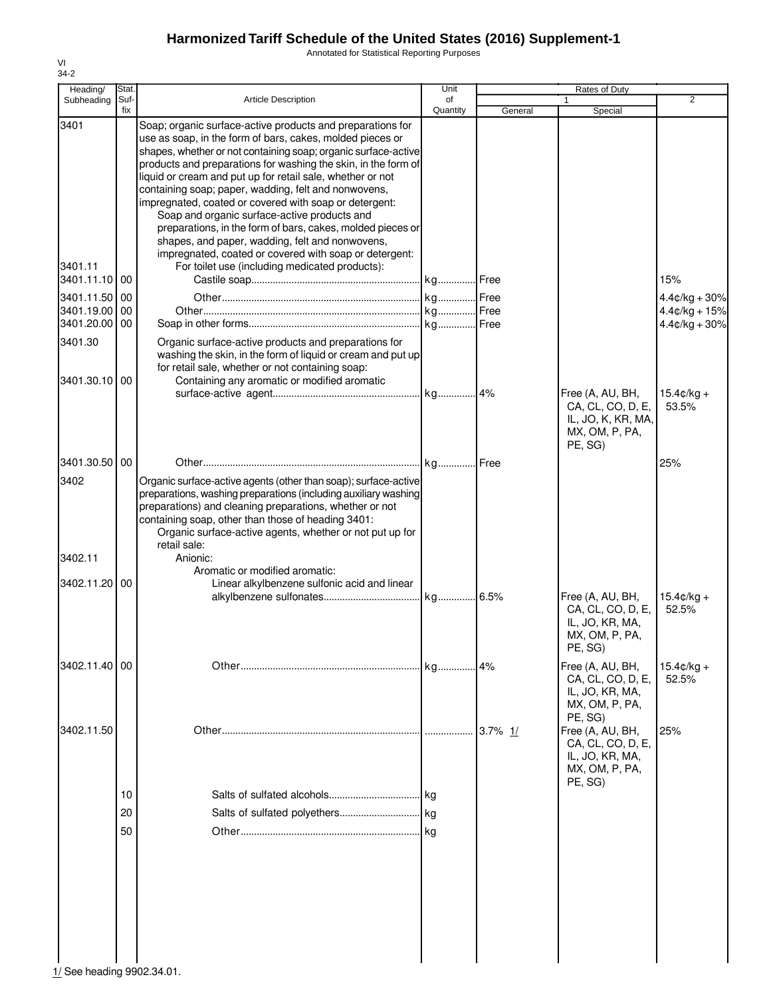Annotated for Statistical Reporting Purposes

| Heading/                 | Stat.       |                                                                                                                                                                                                                                                                                                                                                                                                                                                                                                                                                                                                                                                                        | Unit           |            | Rates of Duty                                                                         |                               |
|--------------------------|-------------|------------------------------------------------------------------------------------------------------------------------------------------------------------------------------------------------------------------------------------------------------------------------------------------------------------------------------------------------------------------------------------------------------------------------------------------------------------------------------------------------------------------------------------------------------------------------------------------------------------------------------------------------------------------------|----------------|------------|---------------------------------------------------------------------------------------|-------------------------------|
| Subheading               | Suf-<br>fix | <b>Article Description</b>                                                                                                                                                                                                                                                                                                                                                                                                                                                                                                                                                                                                                                             | of<br>Quantity | General    | Special                                                                               | $\overline{2}$                |
| 3401                     |             | Soap; organic surface-active products and preparations for<br>use as soap, in the form of bars, cakes, molded pieces or<br>shapes, whether or not containing soap; organic surface-active<br>products and preparations for washing the skin, in the form of<br>liquid or cream and put up for retail sale, whether or not<br>containing soap; paper, wadding, felt and nonwovens,<br>impregnated, coated or covered with soap or detergent:<br>Soap and organic surface-active products and<br>preparations, in the form of bars, cakes, molded pieces or<br>shapes, and paper, wadding, felt and nonwovens,<br>impregnated, coated or covered with soap or detergent: |                |            |                                                                                       |                               |
| 3401.11<br>3401.11.10 00 |             | For toilet use (including medicated products):                                                                                                                                                                                                                                                                                                                                                                                                                                                                                                                                                                                                                         |                |            |                                                                                       | 15%                           |
| 3401.11.50 00            |             |                                                                                                                                                                                                                                                                                                                                                                                                                                                                                                                                                                                                                                                                        |                |            |                                                                                       | $4.4¢/kg + 30%$               |
| 3401.19.00               | 00          |                                                                                                                                                                                                                                                                                                                                                                                                                                                                                                                                                                                                                                                                        |                |            |                                                                                       | $4.4¢/kg + 15%$               |
| 3401.20.00 00            |             |                                                                                                                                                                                                                                                                                                                                                                                                                                                                                                                                                                                                                                                                        |                |            |                                                                                       | $4.4¢/kg + 30%$               |
| 3401.30<br>3401.30.10 00 |             | Organic surface-active products and preparations for<br>washing the skin, in the form of liquid or cream and put up<br>for retail sale, whether or not containing soap:<br>Containing any aromatic or modified aromatic                                                                                                                                                                                                                                                                                                                                                                                                                                                |                |            | Free (A, AU, BH,<br>CA, CL, CO, D, E,                                                 | $15.4 \text{C/kg} +$<br>53.5% |
|                          |             |                                                                                                                                                                                                                                                                                                                                                                                                                                                                                                                                                                                                                                                                        |                |            | IL, JO, K, KR, MA,<br>MX, OM, P, PA,<br>PE, SG)                                       |                               |
| 3401.30.50               | 00          |                                                                                                                                                                                                                                                                                                                                                                                                                                                                                                                                                                                                                                                                        |                |            |                                                                                       | 25%                           |
| 3402<br>3402.11          |             | Organic surface-active agents (other than soap); surface-active<br>preparations, washing preparations (including auxiliary washing<br>preparations) and cleaning preparations, whether or not<br>containing soap, other than those of heading 3401:<br>Organic surface-active agents, whether or not put up for<br>retail sale:<br>Anionic:                                                                                                                                                                                                                                                                                                                            |                |            |                                                                                       |                               |
|                          |             | Aromatic or modified aromatic:                                                                                                                                                                                                                                                                                                                                                                                                                                                                                                                                                                                                                                         |                |            |                                                                                       |                               |
| 3402.11.20               | 00          | Linear alkylbenzene sulfonic acid and linear                                                                                                                                                                                                                                                                                                                                                                                                                                                                                                                                                                                                                           |                |            | Free (A, AU, BH,<br>CA, CL, CO, D, E,<br>IL, JO, KR, MA,<br>MX, OM, P, PA,<br>PE, SG) | $15.4 \text{C/kg} +$<br>52.5% |
| 3402.11.40 00            |             |                                                                                                                                                                                                                                                                                                                                                                                                                                                                                                                                                                                                                                                                        |                |            | Free (A, AU, BH,                                                                      | $15.4 \text{c/kg} +$          |
|                          |             |                                                                                                                                                                                                                                                                                                                                                                                                                                                                                                                                                                                                                                                                        |                |            | CA, CL, CO, D, E,<br>IL, JO, KR, MA,<br>MX, OM, P, PA,<br>PE, SG)                     | 52.5%                         |
| 3402.11.50               |             |                                                                                                                                                                                                                                                                                                                                                                                                                                                                                                                                                                                                                                                                        |                | $3.7\%$ 1/ | Free (A, AU, BH,<br>CA, CL, CO, D, E,<br>IL, JO, KR, MA,<br>MX, OM, P, PA,<br>PE, SG) | 25%                           |
|                          | 10          |                                                                                                                                                                                                                                                                                                                                                                                                                                                                                                                                                                                                                                                                        |                |            |                                                                                       |                               |
|                          | 20          |                                                                                                                                                                                                                                                                                                                                                                                                                                                                                                                                                                                                                                                                        |                |            |                                                                                       |                               |
|                          | 50          |                                                                                                                                                                                                                                                                                                                                                                                                                                                                                                                                                                                                                                                                        | l kg           |            |                                                                                       |                               |
|                          |             |                                                                                                                                                                                                                                                                                                                                                                                                                                                                                                                                                                                                                                                                        |                |            |                                                                                       |                               |

VI 34-2

1/ See heading 9902.34.01.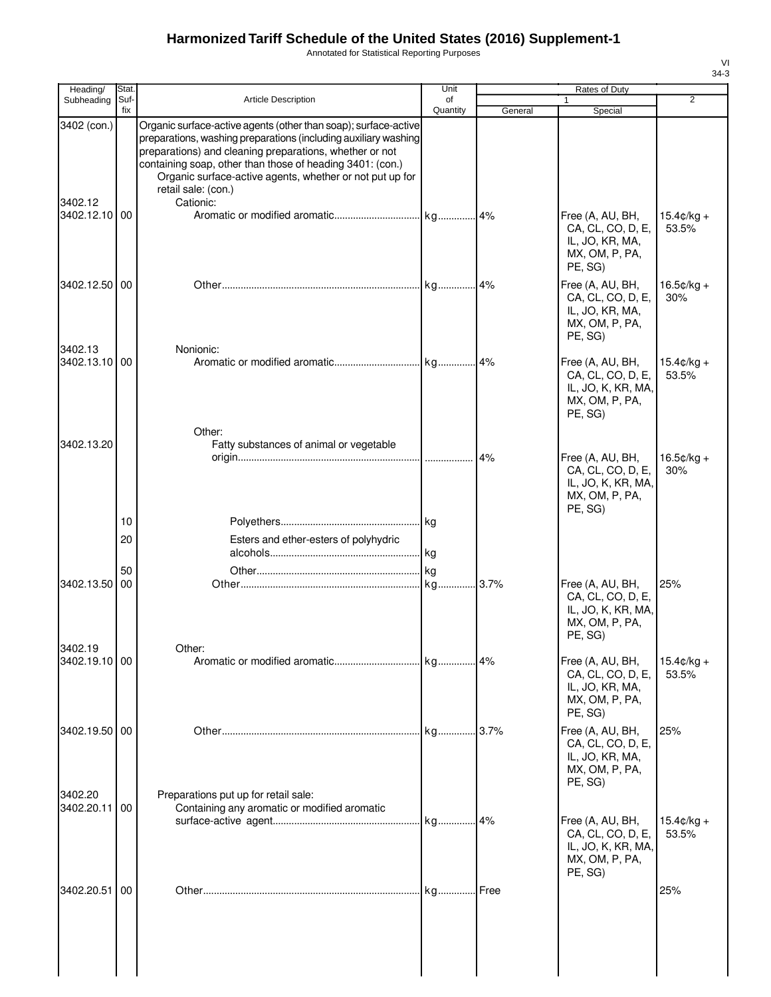Annotated for Statistical Reporting Purposes

| Heading/                 | Stat.       |                                                                                                                                                                                                                                                                                                                                                            | Unit           |         | Rates of Duty                                                                            |                               |
|--------------------------|-------------|------------------------------------------------------------------------------------------------------------------------------------------------------------------------------------------------------------------------------------------------------------------------------------------------------------------------------------------------------------|----------------|---------|------------------------------------------------------------------------------------------|-------------------------------|
| Subheading               | Suf-<br>fix | <b>Article Description</b>                                                                                                                                                                                                                                                                                                                                 | of<br>Quantity | General | 1<br>Special                                                                             | $\overline{2}$                |
| 3402 (con.)<br>3402.12   |             | Organic surface-active agents (other than soap); surface-active<br>preparations, washing preparations (including auxiliary washing<br>preparations) and cleaning preparations, whether or not<br>containing soap, other than those of heading 3401: (con.)<br>Organic surface-active agents, whether or not put up for<br>retail sale: (con.)<br>Cationic: |                |         |                                                                                          |                               |
| 3402.12.10 00            |             |                                                                                                                                                                                                                                                                                                                                                            |                |         | Free (A, AU, BH,<br>CA, CL, CO, D, E,<br>IL, JO, KR, MA,<br>MX, OM, P, PA,<br>PE, SG)    | $15.4 \text{C/kg} +$<br>53.5% |
| 3402.12.50 00            |             |                                                                                                                                                                                                                                                                                                                                                            |                |         | Free (A, AU, BH,<br>CA, CL, CO, D, E,<br>IL, JO, KR, MA,<br>MX, OM, P, PA,<br>PE, SG)    | $16.5¢/kg +$<br>30%           |
| 3402.13<br>3402.13.10 00 |             | Nonionic:                                                                                                                                                                                                                                                                                                                                                  |                |         | Free (A, AU, BH,<br>CA, CL, CO, D, E,<br>IL, JO, K, KR, MA,<br>MX, OM, P, PA,<br>PE, SG) | $15.4 \text{c/kg} +$<br>53.5% |
| 3402.13.20               |             | Other:<br>Fatty substances of animal or vegetable                                                                                                                                                                                                                                                                                                          |                | 4%      | Free (A, AU, BH,<br>CA, CL, CO, D, E,<br>IL, JO, K, KR, MA,<br>MX, OM, P, PA,            | $16.5¢/kg +$<br>30%           |
|                          | 10          |                                                                                                                                                                                                                                                                                                                                                            |                |         | PE, SG)                                                                                  |                               |
|                          | 20          | Esters and ether-esters of polyhydric                                                                                                                                                                                                                                                                                                                      |                |         |                                                                                          |                               |
|                          |             |                                                                                                                                                                                                                                                                                                                                                            |                |         |                                                                                          |                               |
| 3402.13.50               | 50<br>00    |                                                                                                                                                                                                                                                                                                                                                            |                |         | Free (A, AU, BH,<br>CA, CL, CO, D, E,<br>IL, JO, K, KR, MA,<br>MX, OM, P, PA,<br>PE, SG) | 25%                           |
| 3402.19<br>3402.19.10 00 |             | Other:                                                                                                                                                                                                                                                                                                                                                     |                |         | Free (A, AU, BH,<br>CA, CL, CO, D, E,<br>IL, JO, KR, MA,<br>MX, OM, P, PA,<br>PE, SG)    | $15.4$ ¢/kg +<br>53.5%        |
| 3402.19.50 00<br>3402.20 |             | Preparations put up for retail sale:                                                                                                                                                                                                                                                                                                                       |                |         | Free (A, AU, BH,<br>CA, CL, CO, D, E,<br>IL, JO, KR, MA,<br>MX, OM, P, PA,<br>PE, SG)    | 25%                           |
| 3402.20.11 00            |             | Containing any aromatic or modified aromatic                                                                                                                                                                                                                                                                                                               |                |         | Free (A, AU, BH,<br>CA, CL, CO, D, E,<br>IL, JO, K, KR, MA,<br>MX, OM, P, PA,<br>PE, SG) | $15.4 \text{c/kg} +$<br>53.5% |
| 3402.20.51               | 00          |                                                                                                                                                                                                                                                                                                                                                            | kg             | Free    |                                                                                          | 25%                           |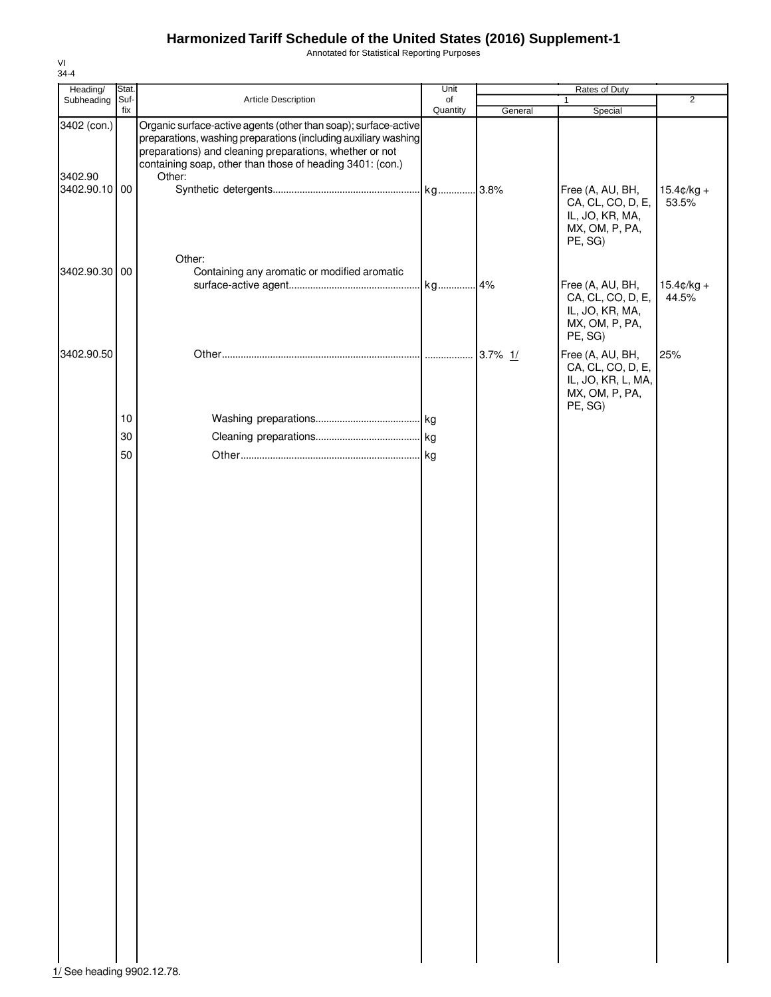Annotated for Statistical Reporting Purposes

| Heading/                 | Stat. |                                                                                                                                                                                                                                                            | Unit     |         |                                                                                          |                               |
|--------------------------|-------|------------------------------------------------------------------------------------------------------------------------------------------------------------------------------------------------------------------------------------------------------------|----------|---------|------------------------------------------------------------------------------------------|-------------------------------|
| Subheading               | Suf-  | Article Description                                                                                                                                                                                                                                        | of       |         | Rates of Duty<br>1                                                                       | $\overline{2}$                |
| 3402 (con.)              | fix   | Organic surface-active agents (other than soap); surface-active<br>preparations, washing preparations (including auxiliary washing<br>preparations) and cleaning preparations, whether or not<br>containing soap, other than those of heading 3401: (con.) | Quantity | General | Special                                                                                  |                               |
| 3402.90<br>3402.90.10 00 |       | Other:                                                                                                                                                                                                                                                     |          |         | Free (A, AU, BH,<br>CA, CL, CO, D, E,<br>IL, JO, KR, MA,<br>MX, OM, P, PA,<br>PE, SG)    | $15.4 \text{c/kg} +$<br>53.5% |
| 3402.90.30 00            |       | Other:<br>Containing any aromatic or modified aromatic                                                                                                                                                                                                     |          |         | Free (A, AU, BH,<br>CA, CL, CO, D, E,<br>IL, JO, KR, MA,<br>MX, OM, P, PA,<br>PE, SG)    | $15.4$ ¢/kg +<br>44.5%        |
| 3402.90.50               | 10    |                                                                                                                                                                                                                                                            |          |         | Free (A, AU, BH,<br>CA, CL, CO, D, E,<br>IL, JO, KR, L, MA,<br>MX, OM, P, PA,<br>PE, SG) | 25%                           |
|                          |       |                                                                                                                                                                                                                                                            |          |         |                                                                                          |                               |
|                          | 30    |                                                                                                                                                                                                                                                            |          |         |                                                                                          |                               |
|                          | 50    |                                                                                                                                                                                                                                                            |          |         |                                                                                          |                               |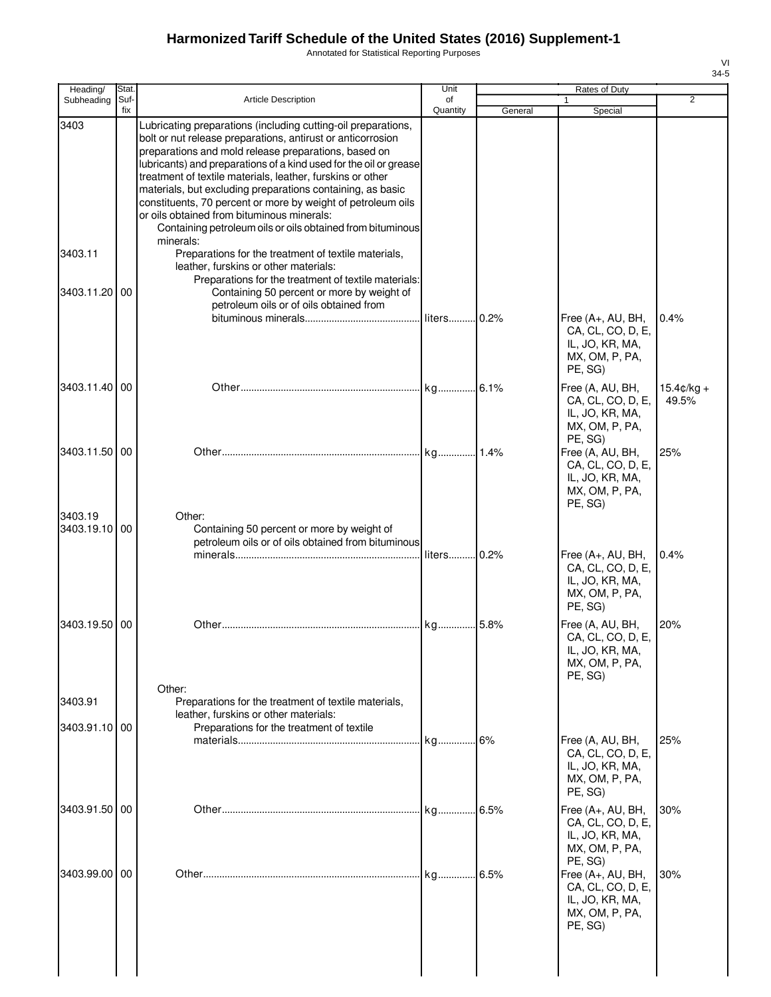Annotated for Statistical Reporting Purposes

| Heading/                                  | Stat.       |                                                                                                                                                                                                                                                                                                                                                                                                                                                                                                                                                                                | Unit           |         | Rates of Duty                                                                          |                               |
|-------------------------------------------|-------------|--------------------------------------------------------------------------------------------------------------------------------------------------------------------------------------------------------------------------------------------------------------------------------------------------------------------------------------------------------------------------------------------------------------------------------------------------------------------------------------------------------------------------------------------------------------------------------|----------------|---------|----------------------------------------------------------------------------------------|-------------------------------|
| Subheading                                | Suf-<br>fix | <b>Article Description</b>                                                                                                                                                                                                                                                                                                                                                                                                                                                                                                                                                     | of<br>Quantity | General | Special                                                                                | 2                             |
| 3403                                      |             | Lubricating preparations (including cutting-oil preparations,<br>bolt or nut release preparations, antirust or anticorrosion<br>preparations and mold release preparations, based on<br>lubricants) and preparations of a kind used for the oil or grease<br>treatment of textile materials, leather, furskins or other<br>materials, but excluding preparations containing, as basic<br>constituents, 70 percent or more by weight of petroleum oils<br>or oils obtained from bituminous minerals:<br>Containing petroleum oils or oils obtained from bituminous<br>minerals: |                |         |                                                                                        |                               |
| 3403.11                                   |             | Preparations for the treatment of textile materials,<br>leather, furskins or other materials:<br>Preparations for the treatment of textile materials:                                                                                                                                                                                                                                                                                                                                                                                                                          |                |         |                                                                                        |                               |
| 3403.11.20                                | 00          | Containing 50 percent or more by weight of<br>petroleum oils or of oils obtained from                                                                                                                                                                                                                                                                                                                                                                                                                                                                                          | liters 0.2%    |         | Free (A+, AU, BH,<br>CA, CL, CO, D, E,<br>IL, JO, KR, MA,<br>MX, OM, P, PA,<br>PE, SG) | 0.4%                          |
| 3403.11.40 00                             |             |                                                                                                                                                                                                                                                                                                                                                                                                                                                                                                                                                                                |                |         | Free (A, AU, BH,<br>CA, CL, CO, D, E,<br>IL, JO, KR, MA,<br>MX, OM, P, PA,<br>PE, SG)  | $15.4 \text{c/kg} +$<br>49.5% |
| 3403.11.50 00<br>3403.19<br>3403.19.10 00 |             | Other:<br>Containing 50 percent or more by weight of                                                                                                                                                                                                                                                                                                                                                                                                                                                                                                                           |                |         | Free (A, AU, BH,<br>CA, CL, CO, D, E,<br>IL, JO, KR, MA,<br>MX, OM, P, PA,<br>PE, SG)  | 25%                           |
|                                           |             | petroleum oils or of oils obtained from bituminous                                                                                                                                                                                                                                                                                                                                                                                                                                                                                                                             | liters 0.2%    |         | Free (A+, AU, BH,<br>CA, CL, CO, D, E,<br>IL, JO, KR, MA,<br>MX, OM, P, PA,<br>PE, SG) | 0.4%                          |
| 3403.19.50<br>3403.91                     | 00          | Other:                                                                                                                                                                                                                                                                                                                                                                                                                                                                                                                                                                         | kg             | 5.8%    | Free (A, AU, BH,<br>CA, CL, CO, D, E,<br>IL, JO, KR, MA,<br>MX, OM, P, PA,<br>PE, SG)  | 20%                           |
|                                           |             | Preparations for the treatment of textile materials,<br>leather, furskins or other materials:                                                                                                                                                                                                                                                                                                                                                                                                                                                                                  |                |         |                                                                                        |                               |
| 3403.91.10 00                             |             | Preparations for the treatment of textile                                                                                                                                                                                                                                                                                                                                                                                                                                                                                                                                      |                | . 6%    | Free (A, AU, BH,<br>CA, CL, CO, D, E,<br>IL, JO, KR, MA,<br>MX, OM, P, PA,<br>PE. SG)  | 25%                           |
| 3403.91.50 00                             |             |                                                                                                                                                                                                                                                                                                                                                                                                                                                                                                                                                                                | kg             | 6.5%    | Free (A+, AU, BH,<br>CA, CL, CO, D, E,<br>IL, JO, KR, MA,<br>MX, OM, P, PA,<br>PE, SG) | 30%                           |
| 3403.99.00 00                             |             |                                                                                                                                                                                                                                                                                                                                                                                                                                                                                                                                                                                | ka             | 6.5%    | Free (A+, AU, BH,<br>CA, CL, CO, D, E,<br>IL, JO, KR, MA,<br>MX, OM, P, PA,<br>PE, SG) | 30%                           |